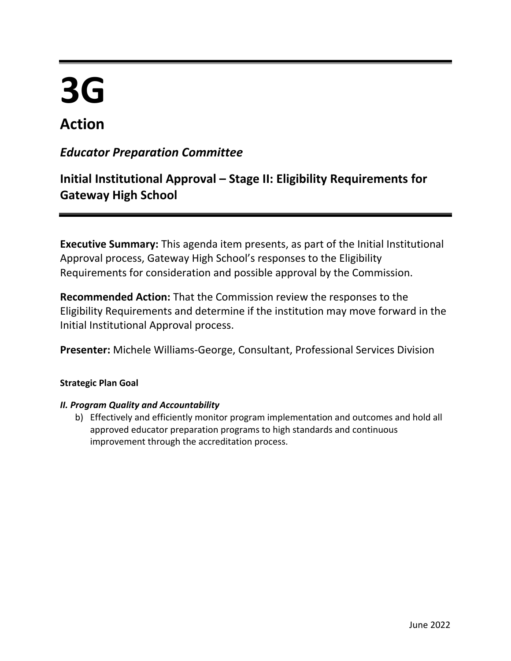# **3G**

# **Action**

### *Educator Preparation Committee*

## **Initial Institutional Approval – Stage II: Eligibility Requirements for Gateway High School**

**Executive Summary:** This agenda item presents, as part of the Initial Institutional Approval process, Gateway High School's responses to the Eligibility Requirements for consideration and possible approval by the Commission.

**Recommended Action:** That the Commission review the responses to the Eligibility Requirements and determine if the institution may move forward in the Initial Institutional Approval process.

**Presenter:** Michele Williams-George, Consultant, Professional Services Division

#### **Strategic Plan Goal**

#### *II. Program Quality and Accountability*

b) Effectively and efficiently monitor program implementation and outcomes and hold all approved educator preparation programs to high standards and continuous improvement through the accreditation process.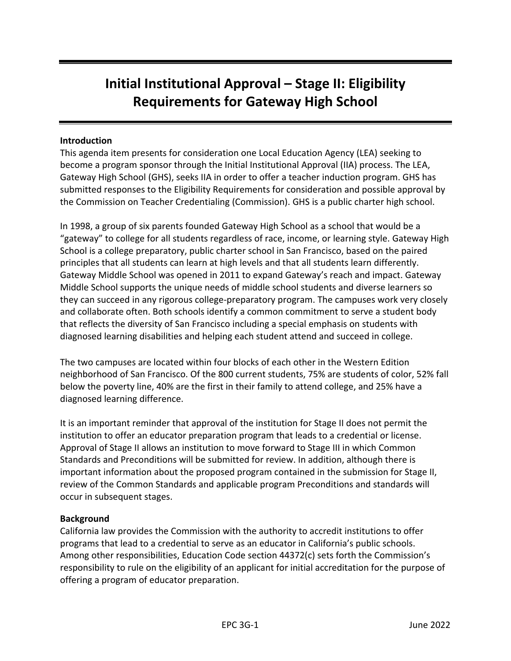## **Initial Institutional Approval – Stage II: Eligibility Requirements for Gateway High School**

#### **Introduction**

This agenda item presents for consideration one Local Education Agency (LEA) seeking to become a program sponsor through the Initial Institutional Approval (IIA) process. The LEA, Gateway High School (GHS), seeks IIA in order to offer a teacher induction program. GHS has submitted responses to the Eligibility Requirements for consideration and possible approval by the Commission on Teacher Credentialing (Commission). GHS is a public charter high school.

In 1998, a group of six parents founded Gateway High School as a school that would be a "gateway" to college for all students regardless of race, income, or learning style. Gateway High School is a college preparatory, public charter school in San Francisco, based on the paired principles that all students can learn at high levels and that all students learn differently. Gateway Middle School was opened in 2011 to expand Gateway's reach and impact. Gateway Middle School supports the unique needs of middle school students and diverse learners so they can succeed in any rigorous college-preparatory program. The campuses work very closely and collaborate often. Both schools identify a common commitment to serve a student body that reflects the diversity of San Francisco including a special emphasis on students with diagnosed learning disabilities and helping each student attend and succeed in college.

The two campuses are located within four blocks of each other in the Western Edition neighborhood of San Francisco. Of the 800 current students, 75% are students of color, 52% fall below the poverty line, 40% are the first in their family to attend college, and 25% have a diagnosed learning difference.

It is an important reminder that approval of the institution for Stage II does not permit the institution to offer an educator preparation program that leads to a credential or license. Approval of Stage II allows an institution to move forward to Stage III in which Common Standards and Preconditions will be submitted for review. In addition, although there is important information about the proposed program contained in the submission for Stage II, review of the Common Standards and applicable program Preconditions and standards will occur in subsequent stages.

#### **Background**

California law provides the Commission with the authority to accredit institutions to offer programs that lead to a credential to serve as an educator in California's public schools. Among other responsibilities, Education Code section 44372(c) sets forth the Commission's responsibility to rule on the eligibility of an applicant for initial accreditation for the purpose of offering a program of educator preparation.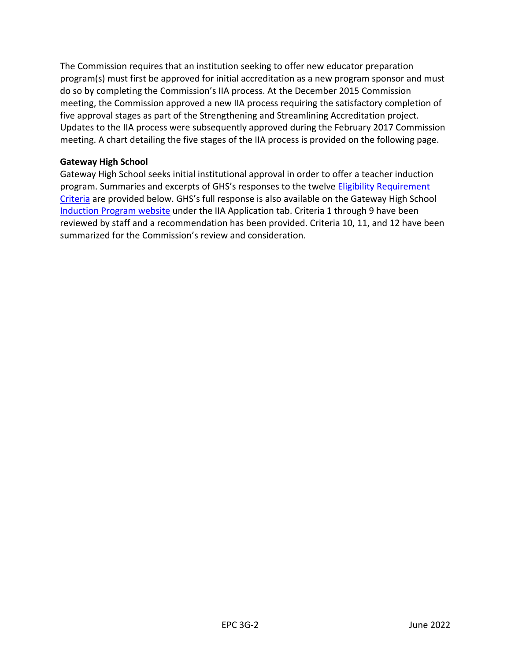The Commission requires that an institution seeking to offer new educator preparation program(s) must first be approved for initial accreditation as a new program sponsor and must do so by completing the Commission's IIA process. At the December 2015 Commission meeting, the Commission approved a new IIA process requiring the satisfactory completion of five approval stages as part of the Strengthening and Streamlining Accreditation project. Updates to the IIA process were subsequently approved during the February 2017 Commission meeting. A chart detailing the five stages of the IIA process is provided on the following page.

#### **Gateway High School**

Gateway High School seeks initial institutional approval in order to offer a teacher induction program. Summaries and excerpts of GHS's responses to the twelve Eligibility Requirement [Criteria](https://www.ctc.ca.gov/docs/default-source/educator-prep/accred-files/stage-ii.pdf?sfvrsn=287945b1_6) are provided below. GHS's full response is also available on the Gateway High School [Induction Program website](https://sites.google.com/gatewaypublicschools.org/gatewayteacherinductionprogram/home) under the IIA Application tab. Criteria 1 through 9 have been reviewed by staff and a recommendation has been provided. Criteria 10, 11, and 12 have been summarized for the Commission's review and consideration.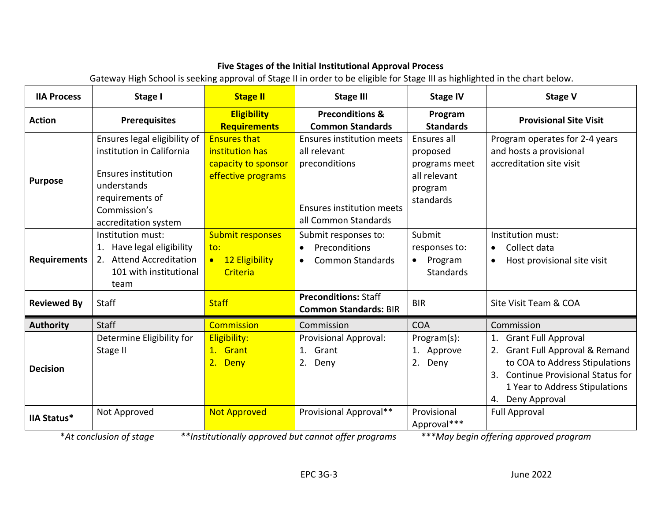#### **Five Stages of the Initial Institutional Approval Process**

Gateway High School is seeking approval of Stage II in order to be eligible for Stage III as highlighted in the chart below.

| <b>IIA Process</b>  | Stage I                                                                                                                                                           | <b>Stage II</b>                                                                     | <b>Stage III</b>                                                                                                              | <b>Stage IV</b>                                                                  | <b>Stage V</b>                                                                                                                                                                              |
|---------------------|-------------------------------------------------------------------------------------------------------------------------------------------------------------------|-------------------------------------------------------------------------------------|-------------------------------------------------------------------------------------------------------------------------------|----------------------------------------------------------------------------------|---------------------------------------------------------------------------------------------------------------------------------------------------------------------------------------------|
| <b>Action</b>       | <b>Prerequisites</b>                                                                                                                                              | <b>Eligibility</b><br><b>Requirements</b>                                           | <b>Preconditions &amp;</b><br><b>Common Standards</b>                                                                         | Program<br><b>Standards</b>                                                      | <b>Provisional Site Visit</b>                                                                                                                                                               |
| <b>Purpose</b>      | Ensures legal eligibility of<br>institution in California<br><b>Ensures institution</b><br>understands<br>requirements of<br>Commission's<br>accreditation system | <b>Ensures that</b><br>institution has<br>capacity to sponsor<br>effective programs | <b>Ensures institution meets</b><br>all relevant<br>preconditions<br><b>Ensures institution meets</b><br>all Common Standards | Ensures all<br>proposed<br>programs meet<br>all relevant<br>program<br>standards | Program operates for 2-4 years<br>and hosts a provisional<br>accreditation site visit                                                                                                       |
| <b>Requirements</b> | Institution must:<br>Have legal eligibility<br>1.<br>2. Attend Accreditation<br>101 with institutional<br>team                                                    | <b>Submit responses</b><br>to:<br>12 Eligibility<br>$\bullet$<br>Criteria           | Submit responses to:<br>Preconditions<br>$\bullet$<br><b>Common Standards</b><br>$\bullet$                                    | Submit<br>responses to:<br>Program<br>$\bullet$<br>Standards                     | Institution must:<br>Collect data<br>Host provisional site visit                                                                                                                            |
| <b>Reviewed By</b>  | Staff                                                                                                                                                             | <b>Staff</b>                                                                        | <b>Preconditions: Staff</b><br><b>Common Standards: BIR</b>                                                                   | <b>BIR</b>                                                                       | Site Visit Team & COA                                                                                                                                                                       |
| <b>Authority</b>    | <b>Staff</b>                                                                                                                                                      | <b>Commission</b>                                                                   | Commission                                                                                                                    | <b>COA</b>                                                                       | Commission                                                                                                                                                                                  |
| <b>Decision</b>     | Determine Eligibility for<br>Stage II                                                                                                                             | Eligibility:<br>1. Grant<br>2. Deny                                                 | <b>Provisional Approval:</b><br>1. Grant<br>2. Deny                                                                           | Program(s):<br>1. Approve<br>2.<br>Deny                                          | <b>Grant Full Approval</b><br>2. Grant Full Approval & Remand<br>to COA to Address Stipulations<br>3. Continue Provisional Status for<br>1 Year to Address Stipulations<br>4. Deny Approval |
| <b>IIA Status*</b>  | Not Approved<br>* At conclusion of stage                                                                                                                          | <b>Not Approved</b>                                                                 | Provisional Approval**<br>$**$ Institutionally approved but cannot offer programs.                                            | Provisional<br>Approval***                                                       | <b>Full Approval</b><br>$***$ May begin offering approved program                                                                                                                           |

\**At conclusion of stage \*\*Institutionally approved but cannot offer programs \*\*\*May begin offering approved program*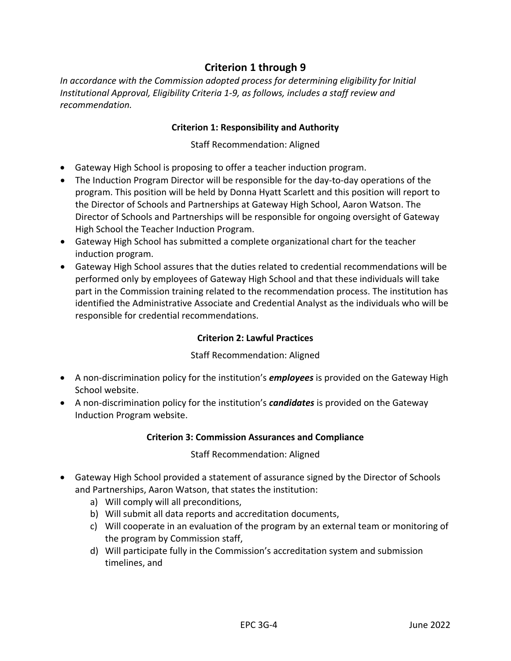#### **Criterion 1 through 9**

*In accordance with the Commission adopted process for determining eligibility for Initial Institutional Approval, Eligibility Criteria 1-9, as follows, includes a staff review and recommendation.*

#### **Criterion 1: Responsibility and Authority**

Staff Recommendation: Aligned

- Gateway High School is proposing to offer a teacher induction program.
- The Induction Program Director will be responsible for the day-to-day operations of the program. This position will be held by Donna Hyatt Scarlett and this position will report to the Director of Schools and Partnerships at Gateway High School, Aaron Watson. The Director of Schools and Partnerships will be responsible for ongoing oversight of Gateway High School the Teacher Induction Program.
- Gateway High School has submitted a complete organizational chart for the teacher induction program.
- Gateway High School assures that the duties related to credential recommendations will be performed only by employees of Gateway High School and that these individuals will take part in the Commission training related to the recommendation process. The institution has identified the Administrative Associate and Credential Analyst as the individuals who will be responsible for credential recommendations.

#### **Criterion 2: Lawful Practices**

#### Staff Recommendation: Aligned

- A non-discrimination policy for the institution's *employees* is provided on the Gateway High School website.
- A non-discrimination policy for the institution's *candidates* is provided on the Gateway Induction Program website.

#### **Criterion 3: Commission Assurances and Compliance**

Staff Recommendation: Aligned

- Gateway High School provided a statement of assurance signed by the Director of Schools and Partnerships, Aaron Watson, that states the institution:
	- a) Will comply will all preconditions,
	- b) Will submit all data reports and accreditation documents,
	- c) Will cooperate in an evaluation of the program by an external team or monitoring of the program by Commission staff,
	- d) Will participate fully in the Commission's accreditation system and submission timelines, and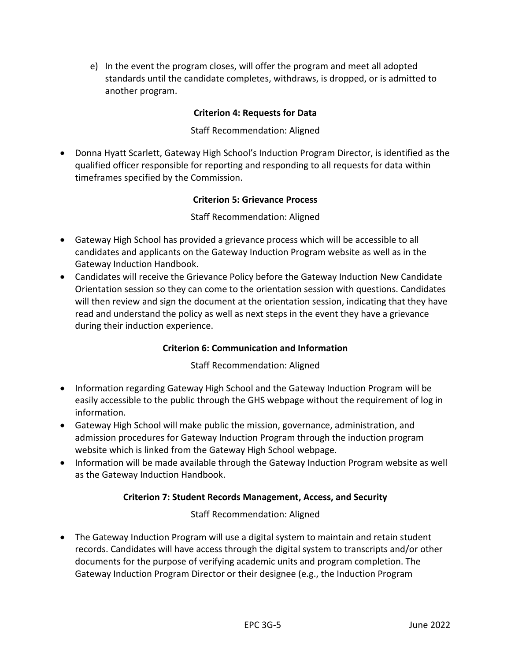e) In the event the program closes, will offer the program and meet all adopted standards until the candidate completes, withdraws, is dropped, or is admitted to another program.

#### **Criterion 4: Requests for Data**

#### Staff Recommendation: Aligned

• Donna Hyatt Scarlett, Gateway High School's Induction Program Director, is identified as the qualified officer responsible for reporting and responding to all requests for data within timeframes specified by the Commission.

#### **Criterion 5: Grievance Process**

#### Staff Recommendation: Aligned

- Gateway High School has provided a grievance process which will be accessible to all candidates and applicants on the Gateway Induction Program website as well as in the Gateway Induction Handbook.
- Candidates will receive the Grievance Policy before the Gateway Induction New Candidate Orientation session so they can come to the orientation session with questions. Candidates will then review and sign the document at the orientation session, indicating that they have read and understand the policy as well as next steps in the event they have a grievance during their induction experience.

#### **Criterion 6: Communication and Information**

#### Staff Recommendation: Aligned

- Information regarding Gateway High School and the Gateway Induction Program will be easily accessible to the public through the GHS webpage without the requirement of log in information.
- Gateway High School will make public the mission, governance, administration, and admission procedures for Gateway Induction Program through the induction program website which is linked from the Gateway High School webpage.
- Information will be made available through the Gateway Induction Program website as well as the Gateway Induction Handbook.

#### **Criterion 7: Student Records Management, Access, and Security**

Staff Recommendation: Aligned

• The Gateway Induction Program will use a digital system to maintain and retain student records. Candidates will have access through the digital system to transcripts and/or other documents for the purpose of verifying academic units and program completion. The Gateway Induction Program Director or their designee (e.g., the Induction Program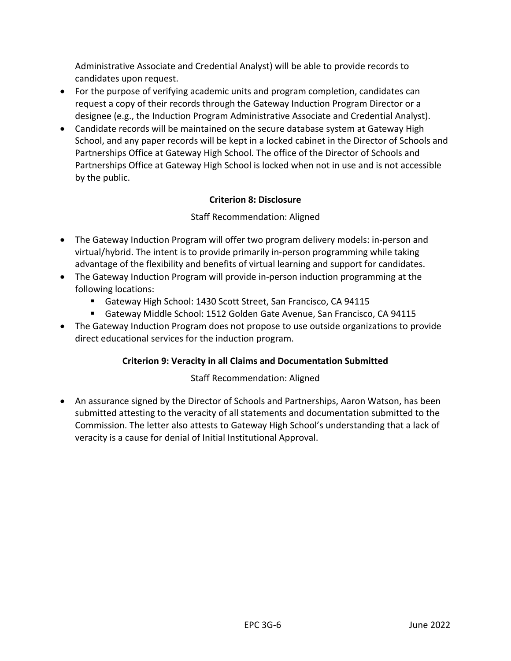Administrative Associate and Credential Analyst) will be able to provide records to candidates upon request.

- For the purpose of verifying academic units and program completion, candidates can request a copy of their records through the Gateway Induction Program Director or a designee (e.g., the Induction Program Administrative Associate and Credential Analyst).
- Candidate records will be maintained on the secure database system at Gateway High School, and any paper records will be kept in a locked cabinet in the Director of Schools and Partnerships Office at Gateway High School. The office of the Director of Schools and Partnerships Office at Gateway High School is locked when not in use and is not accessible by the public.

#### **Criterion 8: Disclosure**

#### Staff Recommendation: Aligned

- The Gateway Induction Program will offer two program delivery models: in-person and virtual/hybrid. The intent is to provide primarily in-person programming while taking advantage of the flexibility and benefits of virtual learning and support for candidates.
- The Gateway Induction Program will provide in-person induction programming at the following locations:
	- Gateway High School: 1430 Scott Street, San Francisco, CA 94115
	- Gateway Middle School: 1512 Golden Gate Avenue, San Francisco, CA 94115
- The Gateway Induction Program does not propose to use outside organizations to provide direct educational services for the induction program.

#### **Criterion 9: Veracity in all Claims and Documentation Submitted**

#### Staff Recommendation: Aligned

• An assurance signed by the Director of Schools and Partnerships, Aaron Watson, has been submitted attesting to the veracity of all statements and documentation submitted to the Commission. The letter also attests to Gateway High School's understanding that a lack of veracity is a cause for denial of Initial Institutional Approval.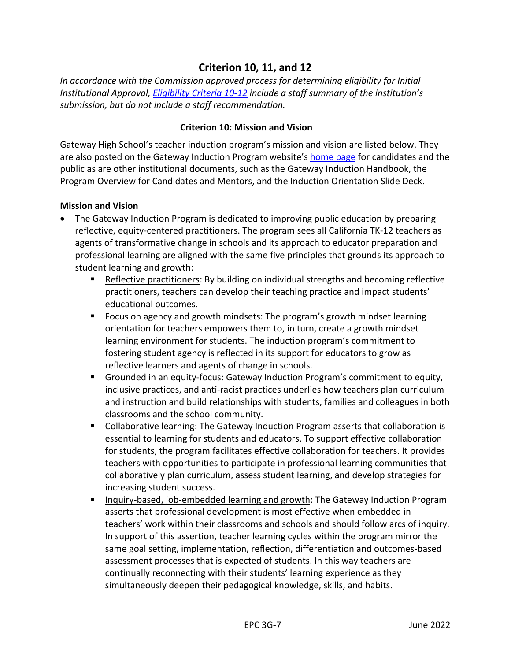#### **Criterion 10, 11, and 12**

*In accordance with the Commission approved process for determining eligibility for Initial Institutional Approval, [Eligibility Criteria 10-12](https://www.ctc.ca.gov/docs/default-source/educator-prep/accred-files/stage-ii.pdf?sfvrsn=287945b1_2#page=10) include a staff summary of the institution's submission, but do not include a staff recommendation.*

#### **Criterion 10: Mission and Vision**

Gateway High School's teacher induction program's mission and vision are listed below. They are also posted on the Gateway Induction Program website's [home page](https://sites.google.com/gatewaypublicschools.org/gatewayteacherinductionprogram/home) for candidates and the public as are other institutional documents, such as the Gateway Induction Handbook, the Program Overview for Candidates and Mentors, and the Induction Orientation Slide Deck.

#### **Mission and Vision**

- The Gateway Induction Program is dedicated to improving public education by preparing reflective, equity-centered practitioners. The program sees all California TK-12 teachers as agents of transformative change in schools and its approach to educator preparation and professional learning are aligned with the same five principles that grounds its approach to student learning and growth:
	- Reflective practitioners: By building on individual strengths and becoming reflective practitioners, teachers can develop their teaching practice and impact students' educational outcomes.
	- Focus on agency and growth mindsets: The program's growth mindset learning orientation for teachers empowers them to, in turn, create a growth mindset learning environment for students. The induction program's commitment to fostering student agency is reflected in its support for educators to grow as reflective learners and agents of change in schools.
	- **EXTERGHTM IDEOFF CONTERGHTM IN A SET IS CONTEX CONTEX CONTENT** Commitment to equity, inclusive practices, and anti-racist practices underlies how teachers plan curriculum and instruction and build relationships with students, families and colleagues in both classrooms and the school community.
	- Collaborative learning: The Gateway Induction Program asserts that collaboration is essential to learning for students and educators. To support effective collaboration for students, the program facilitates effective collaboration for teachers. It provides teachers with opportunities to participate in professional learning communities that collaboratively plan curriculum, assess student learning, and develop strategies for increasing student success.
	- Inquiry-based, job-embedded learning and growth: The Gateway Induction Program asserts that professional development is most effective when embedded in teachers' work within their classrooms and schools and should follow arcs of inquiry. In support of this assertion, teacher learning cycles within the program mirror the same goal setting, implementation, reflection, differentiation and outcomes-based assessment processes that is expected of students. In this way teachers are continually reconnecting with their students' learning experience as they simultaneously deepen their pedagogical knowledge, skills, and habits.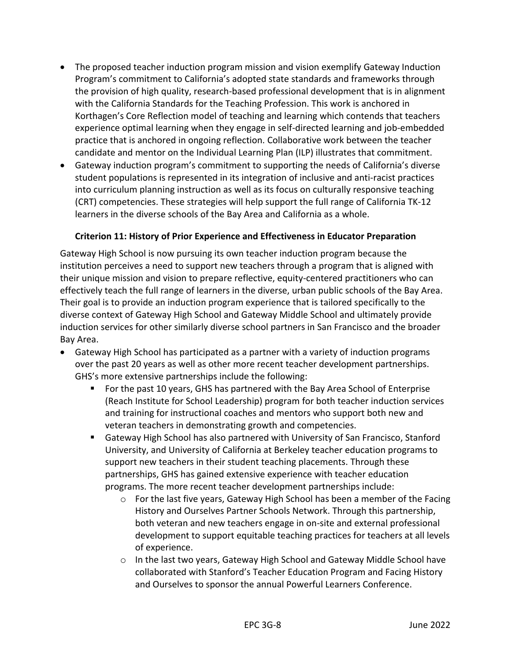- The proposed teacher induction program mission and vision exemplify Gateway Induction Program's commitment to California's adopted state standards and frameworks through the provision of high quality, research-based professional development that is in alignment with the California Standards for the Teaching Profession. This work is anchored in Korthagen's Core Reflection model of teaching and learning which contends that teachers experience optimal learning when they engage in self-directed learning and job-embedded practice that is anchored in ongoing reflection. Collaborative work between the teacher candidate and mentor on the Individual Learning Plan (ILP) illustrates that commitment.
- Gateway induction program's commitment to supporting the needs of California's diverse student populations is represented in its integration of inclusive and anti-racist practices into curriculum planning instruction as well as its focus on culturally responsive teaching (CRT) competencies. These strategies will help support the full range of California TK-12 learners in the diverse schools of the Bay Area and California as a whole.

#### **Criterion 11: History of Prior Experience and Effectiveness in Educator Preparation**

Gateway High School is now pursuing its own teacher induction program because the institution perceives a need to support new teachers through a program that is aligned with their unique mission and vision to prepare reflective, equity-centered practitioners who can effectively teach the full range of learners in the diverse, urban public schools of the Bay Area. Their goal is to provide an induction program experience that is tailored specifically to the diverse context of Gateway High School and Gateway Middle School and ultimately provide induction services for other similarly diverse school partners in San Francisco and the broader Bay Area.

- Gateway High School has participated as a partner with a variety of induction programs over the past 20 years as well as other more recent teacher development partnerships. GHS's more extensive partnerships include the following:
	- For the past 10 years, GHS has partnered with the Bay Area School of Enterprise (Reach Institute for School Leadership) program for both teacher induction services and training for instructional coaches and mentors who support both new and veteran teachers in demonstrating growth and competencies.
	- Gateway High School has also partnered with University of San Francisco, Stanford University, and University of California at Berkeley teacher education programs to support new teachers in their student teaching placements. Through these partnerships, GHS has gained extensive experience with teacher education programs. The more recent teacher development partnerships include:
		- $\circ$  For the last five years, Gateway High School has been a member of the Facing History and Ourselves Partner Schools Network. Through this partnership, both veteran and new teachers engage in on-site and external professional development to support equitable teaching practices for teachers at all levels of experience.
		- $\circ$  In the last two years, Gateway High School and Gateway Middle School have collaborated with Stanford's Teacher Education Program and Facing History and Ourselves to sponsor the annual Powerful Learners Conference.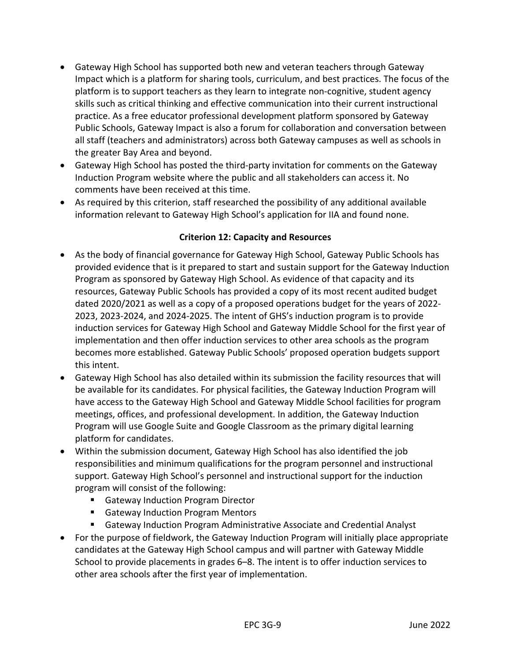- Gateway High School has supported both new and veteran teachers through Gateway Impact which is a platform for sharing tools, curriculum, and best practices. The focus of the platform is to support teachers as they learn to integrate non-cognitive, student agency skills such as critical thinking and effective communication into their current instructional practice. As a free educator professional development platform sponsored by Gateway Public Schools, Gateway Impact is also a forum for collaboration and conversation between all staff (teachers and administrators) across both Gateway campuses as well as schools in the greater Bay Area and beyond.
- Gateway High School has posted the third-party invitation for comments on the Gateway Induction Program website where the public and all stakeholders can access it. No comments have been received at this time.
- As required by this criterion, staff researched the possibility of any additional available information relevant to Gateway High School's application for IIA and found none.

#### **Criterion 12: Capacity and Resources**

- As the body of financial governance for Gateway High School, Gateway Public Schools has provided evidence that is it prepared to start and sustain support for the Gateway Induction Program as sponsored by Gateway High School. As evidence of that capacity and its resources, Gateway Public Schools has provided a copy of its most recent audited budget dated 2020/2021 as well as a copy of a proposed operations budget for the years of 2022- 2023, 2023-2024, and 2024-2025. The intent of GHS's induction program is to provide induction services for Gateway High School and Gateway Middle School for the first year of implementation and then offer induction services to other area schools as the program becomes more established. Gateway Public Schools' proposed operation budgets support this intent.
- Gateway High School has also detailed within its submission the facility resources that will be available for its candidates. For physical facilities, the Gateway Induction Program will have access to the Gateway High School and Gateway Middle School facilities for program meetings, offices, and professional development. In addition, the Gateway Induction Program will use Google Suite and Google Classroom as the primary digital learning platform for candidates.
- Within the submission document, Gateway High School has also identified the job responsibilities and minimum qualifications for the program personnel and instructional support. Gateway High School's personnel and instructional support for the induction program will consist of the following:
	- Gateway Induction Program Director
	- Gateway Induction Program Mentors
	- Gateway Induction Program Administrative Associate and Credential Analyst
- For the purpose of fieldwork, the Gateway Induction Program will initially place appropriate candidates at the Gateway High School campus and will partner with Gateway Middle School to provide placements in grades 6–8. The intent is to offer induction services to other area schools after the first year of implementation.